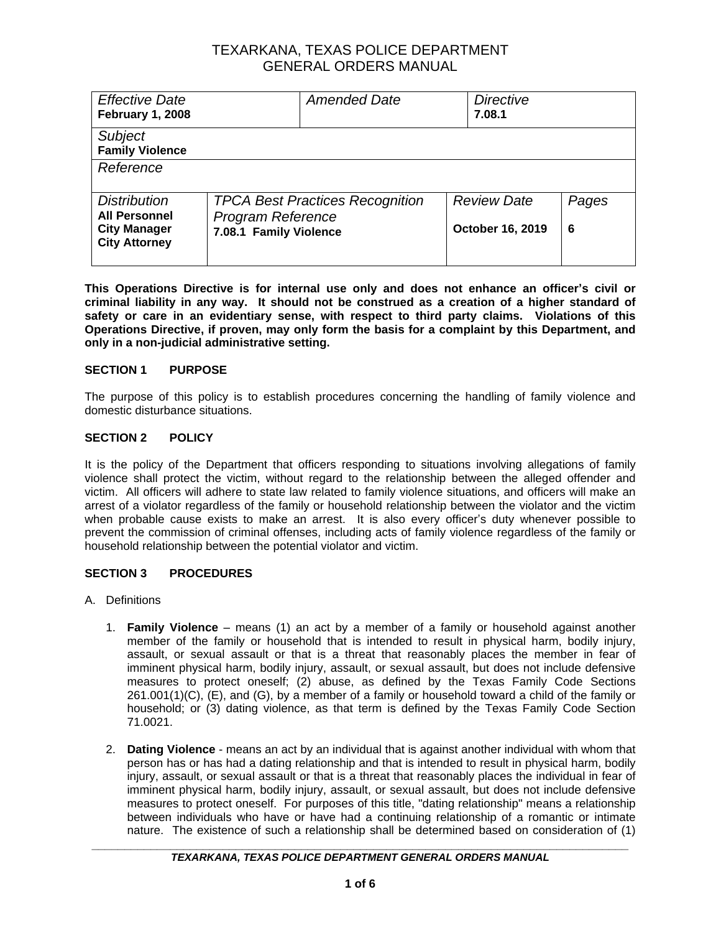| <b>Effective Date</b><br><b>February 1, 2008</b>                   |                                                                                              | <b>Amended Date</b> | <b>Directive</b><br>7.08.1             |            |
|--------------------------------------------------------------------|----------------------------------------------------------------------------------------------|---------------------|----------------------------------------|------------|
| <b>Subject</b><br><b>Family Violence</b>                           |                                                                                              |                     |                                        |            |
| Reference                                                          |                                                                                              |                     |                                        |            |
| <b>Distribution</b><br><b>All Personnel</b><br><b>City Manager</b> | <b>TPCA Best Practices Recognition</b><br><b>Program Reference</b><br>7.08.1 Family Violence |                     | <b>Review Date</b><br>October 16, 2019 | Pages<br>6 |
| <b>City Attorney</b>                                               |                                                                                              |                     |                                        |            |

**This Operations Directive is for internal use only and does not enhance an officer's civil or criminal liability in any way. It should not be construed as a creation of a higher standard of safety or care in an evidentiary sense, with respect to third party claims. Violations of this Operations Directive, if proven, may only form the basis for a complaint by this Department, and only in a non-judicial administrative setting.**

### **SECTION 1 PURPOSE**

The purpose of this policy is to establish procedures concerning the handling of family violence and domestic disturbance situations.

#### **SECTION 2 POLICY**

It is the policy of the Department that officers responding to situations involving allegations of family violence shall protect the victim, without regard to the relationship between the alleged offender and victim. All officers will adhere to state law related to family violence situations, and officers will make an arrest of a violator regardless of the family or household relationship between the violator and the victim when probable cause exists to make an arrest. It is also every officer's duty whenever possible to prevent the commission of criminal offenses, including acts of family violence regardless of the family or household relationship between the potential violator and victim.

### **SECTION 3 PROCEDURES**

- A. Definitions
	- 1. **Family Violence** means (1) an act by a member of a [family](http://tlo2.tlc.state.tx.us/cgi-bin/cqcgi?CQ_SESSION_KEY=ZKHADDVWUGNX&CQ_QUERY_HANDLE=132951&CQ_CUR_DOCUMENT=15&CQ_TLO_DOC_TEXT=YES#"HIT0010#HIT0010") or household against another member of the [family](http://tlo2.tlc.state.tx.us/cgi-bin/cqcgi?CQ_SESSION_KEY=ZKHADDVWUGNX&CQ_QUERY_HANDLE=132951&CQ_CUR_DOCUMENT=15&CQ_TLO_DOC_TEXT=YES#"HIT0011#HIT0011") or household that is intended to result in physical harm, bodily injury, assault, or sexual assault or that is a threat that reasonably places the member in fear of imminent physical harm, bodily injury, assault, or sexual assault, but does not include defensive measures to protect oneself; (2) abuse, as defined by the Texas Family Code Sections 261.001(1)(C), (E), and (G), by a member of a [family](http://tlo2.tlc.state.tx.us/cgi-bin/cqcgi?CQ_SESSION_KEY=ZKHADDVWUGNX&CQ_QUERY_HANDLE=132951&CQ_CUR_DOCUMENT=15&CQ_TLO_DOC_TEXT=YES#"HIT0012#HIT0012") or household toward a child of the [family](http://tlo2.tlc.state.tx.us/cgi-bin/cqcgi?CQ_SESSION_KEY=ZKHADDVWUGNX&CQ_QUERY_HANDLE=132951&CQ_CUR_DOCUMENT=15&CQ_TLO_DOC_TEXT=YES#"HIT0013#HIT0013") or household; or (3) dating [violence,](http://tlo2.tlc.state.tx.us/cgi-bin/cqcgi?CQ_SESSION_KEY=ZKHADDVWUGNX&CQ_QUERY_HANDLE=132951&CQ_CUR_DOCUMENT=15&CQ_TLO_DOC_TEXT=YES#"BOTTOM#BOTTOM") as that term is defined by the Texas Family Code Section 71.0021.
	- 2. **Dating Violence** means an act by an individual that is against another individual with whom that person has or has had a dating relationship and that is intended to result in physical harm, bodily injury, assault, or sexual assault or that is a threat that reasonably places the individual in fear of imminent physical harm, bodily injury, assault, or sexual assault, but does not include defensive measures to protect oneself. For purposes of this title, "dating relationship" means a relationship between individuals who have or have had a continuing relationship of a romantic or intimate nature. The existence of such a relationship shall be determined based on consideration of (1)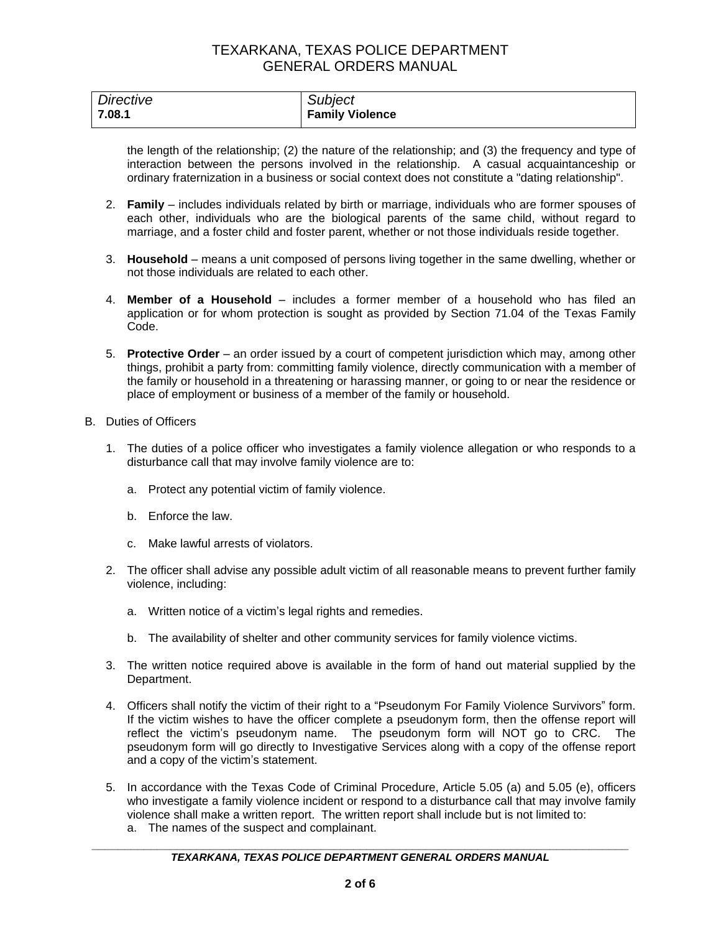| Directive | <b>Subject</b>         |
|-----------|------------------------|
| 7.08.1    | <b>Family Violence</b> |

the length of the relationship; (2) the nature of the relationship; and (3) the frequency and type of interaction between the persons involved in the relationship. A casual acquaintanceship or ordinary fraternization in a business or social context does not constitute a "dating relationship".

- 2. **Family** includes individuals related by birth or marriage, individuals who are former spouses of each other, individuals who are the biological parents of the same child, without regard to marriage, and a foster child and foster parent, whether or not those individuals reside together.
- 3. **Household** means a unit composed of persons living together in the same dwelling, whether or not those individuals are related to each other.
- 4. **Member of a Household** includes a former member of a household who has filed an application or for whom protection is sought as provided by Section 71.04 of the Texas Family Code.
- 5. **Protective Order** an order issued by a court of competent jurisdiction which may, among other things, prohibit a party from: committing family violence, directly communication with a member of the family or household in a threatening or harassing manner, or going to or near the residence or place of employment or business of a member of the family or household.
- B. Duties of Officers
	- 1. The duties of a police officer who investigates a family violence allegation or who responds to a disturbance call that may involve family violence are to:
		- a. Protect any potential victim of family violence.
		- b. Enforce the law.
		- c. Make lawful arrests of violators.
	- 2. The officer shall advise any possible adult victim of all reasonable means to prevent further family violence, including:
		- a. Written notice of a victim's legal rights and remedies.
		- b. The availability of shelter and other community services for family violence victims.
	- 3. The written notice required above is available in the form of hand out material supplied by the Department.
	- 4. Officers shall notify the victim of their right to a "Pseudonym For Family Violence Survivors" form. If the victim wishes to have the officer complete a pseudonym form, then the offense report will reflect the victim's pseudonym name. The pseudonym form will NOT go to CRC. The pseudonym form will go directly to Investigative Services along with a copy of the offense report and a copy of the victim's statement.
	- 5. In accordance with the Texas Code of Criminal Procedure, Article 5.05 (a) and 5.05 (e), officers who investigate a family violence incident or respond to a disturbance call that may involve family violence shall make a written report. The written report shall include but is not limited to:
		- a. The names of the suspect and complainant.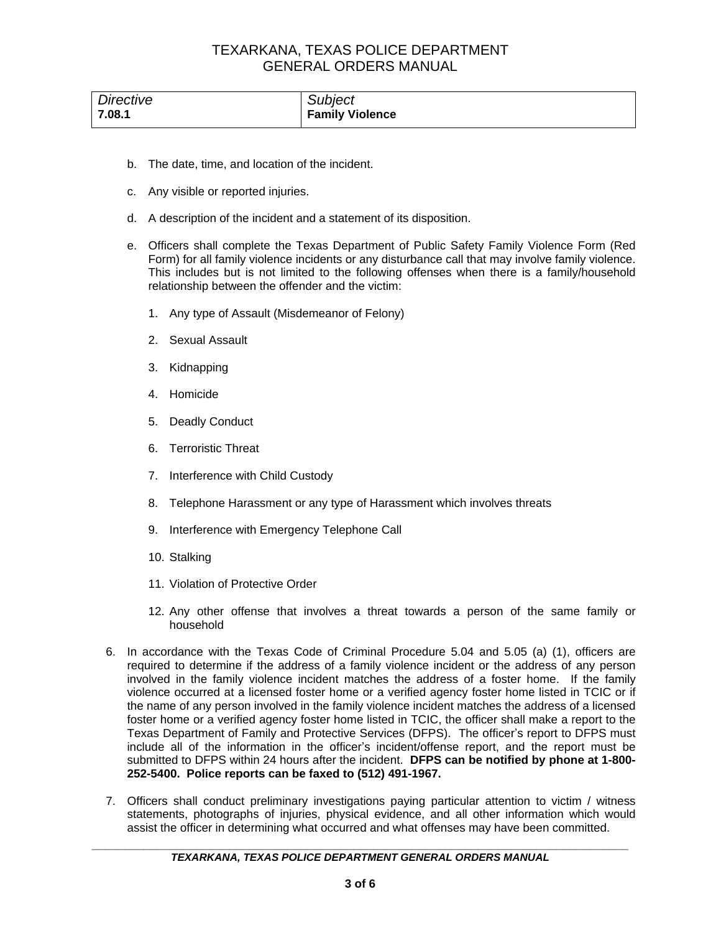| Directive | <b>Subject</b>         |
|-----------|------------------------|
| 7.08.1    | <b>Family Violence</b> |

- b. The date, time, and location of the incident.
- c. Any visible or reported injuries.
- d. A description of the incident and a statement of its disposition.
- e. Officers shall complete the Texas Department of Public Safety Family Violence Form (Red Form) for all family violence incidents or any disturbance call that may involve family violence. This includes but is not limited to the following offenses when there is a family/household relationship between the offender and the victim:
	- 1. Any type of Assault (Misdemeanor of Felony)
	- 2. Sexual Assault
	- 3. Kidnapping
	- 4. Homicide
	- 5. Deadly Conduct
	- 6. Terroristic Threat
	- 7. Interference with Child Custody
	- 8. Telephone Harassment or any type of Harassment which involves threats
	- 9. Interference with Emergency Telephone Call
	- 10. Stalking
	- 11. Violation of Protective Order
	- 12. Any other offense that involves a threat towards a person of the same family or household
- 6. In accordance with the Texas Code of Criminal Procedure 5.04 and 5.05 (a) (1), officers are required to determine if the address of a family violence incident or the address of any person involved in the family violence incident matches the address of a foster home. If the family violence occurred at a licensed foster home or a verified agency foster home listed in TCIC or if the name of any person involved in the family violence incident matches the address of a licensed foster home or a verified agency foster home listed in TCIC, the officer shall make a report to the Texas Department of Family and Protective Services (DFPS). The officer's report to DFPS must include all of the information in the officer's incident/offense report, and the report must be submitted to DFPS within 24 hours after the incident. **DFPS can be notified by phone at 1-800- 252-5400. Police reports can be faxed to (512) 491-1967.**
- 7. Officers shall conduct preliminary investigations paying particular attention to victim / witness statements, photographs of injuries, physical evidence, and all other information which would assist the officer in determining what occurred and what offenses may have been committed.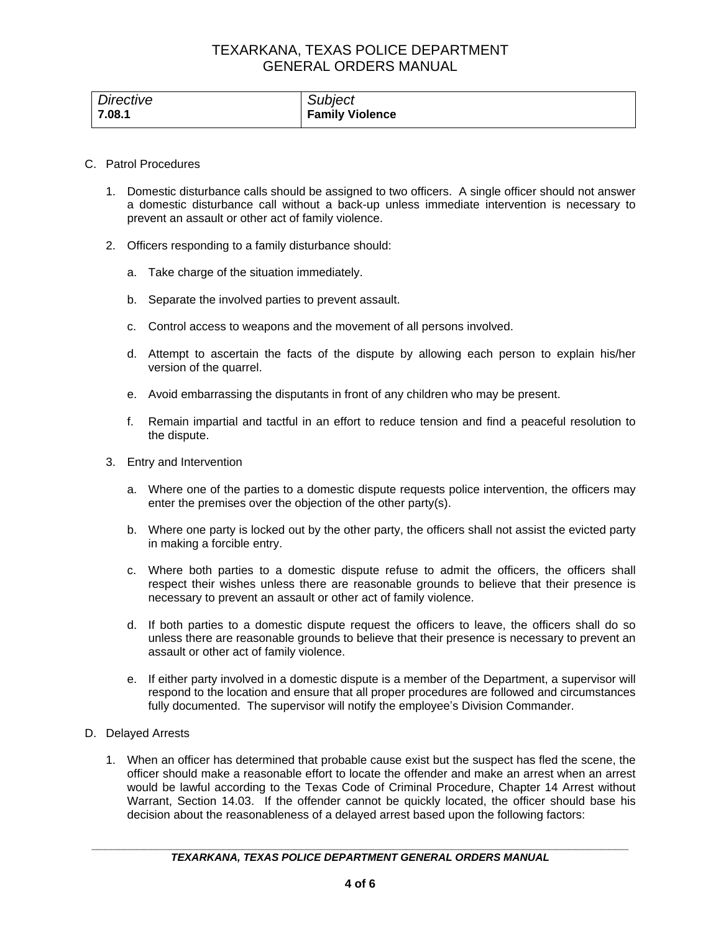| Directive | <b>Subject</b>         |
|-----------|------------------------|
| 7.08.1    | <b>Family Violence</b> |

#### C. Patrol Procedures

- 1. Domestic disturbance calls should be assigned to two officers. A single officer should not answer a domestic disturbance call without a back-up unless immediate intervention is necessary to prevent an assault or other act of family violence.
- 2. Officers responding to a family disturbance should:
	- a. Take charge of the situation immediately.
	- b. Separate the involved parties to prevent assault.
	- c. Control access to weapons and the movement of all persons involved.
	- d. Attempt to ascertain the facts of the dispute by allowing each person to explain his/her version of the quarrel.
	- e. Avoid embarrassing the disputants in front of any children who may be present.
	- f. Remain impartial and tactful in an effort to reduce tension and find a peaceful resolution to the dispute.
- 3. Entry and Intervention
	- a. Where one of the parties to a domestic dispute requests police intervention, the officers may enter the premises over the objection of the other party(s).
	- b. Where one party is locked out by the other party, the officers shall not assist the evicted party in making a forcible entry.
	- c. Where both parties to a domestic dispute refuse to admit the officers, the officers shall respect their wishes unless there are reasonable grounds to believe that their presence is necessary to prevent an assault or other act of family violence.
	- d. If both parties to a domestic dispute request the officers to leave, the officers shall do so unless there are reasonable grounds to believe that their presence is necessary to prevent an assault or other act of family violence.
	- e. If either party involved in a domestic dispute is a member of the Department, a supervisor will respond to the location and ensure that all proper procedures are followed and circumstances fully documented. The supervisor will notify the employee's Division Commander.

### D. Delayed Arrests

1. When an officer has determined that probable cause exist but the suspect has fled the scene, the officer should make a reasonable effort to locate the offender and make an arrest when an arrest would be lawful according to the Texas Code of Criminal Procedure, Chapter 14 Arrest without Warrant, Section 14.03. If the offender cannot be quickly located, the officer should base his decision about the reasonableness of a delayed arrest based upon the following factors: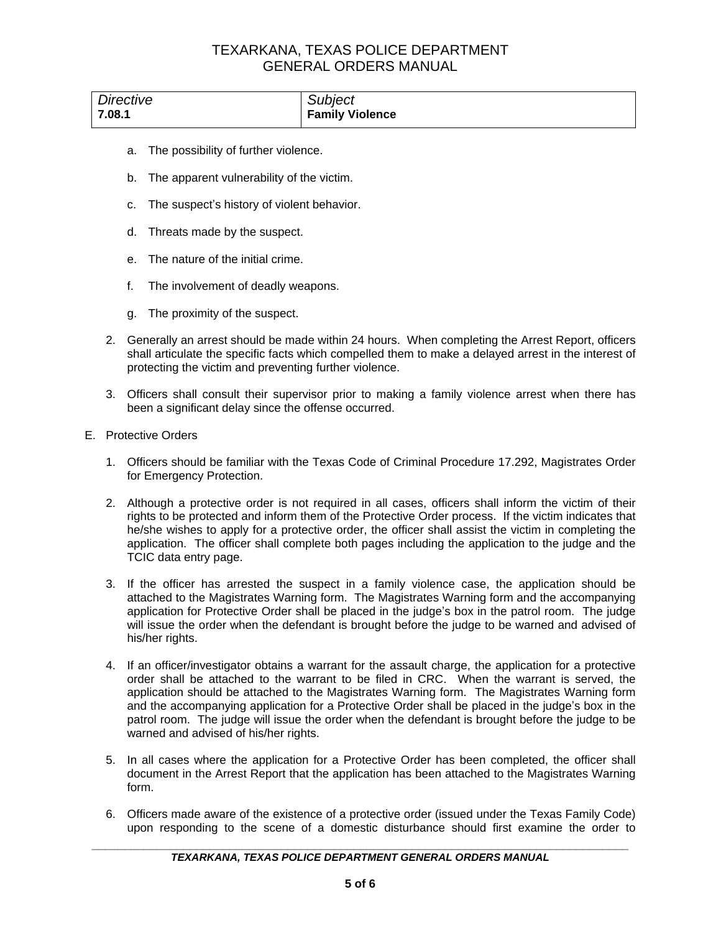| Directive | Subject                |
|-----------|------------------------|
| 7.08.1    | <b>Family Violence</b> |

- a. The possibility of further violence.
- b. The apparent vulnerability of the victim.
- c. The suspect's history of violent behavior.
- d. Threats made by the suspect.
- e. The nature of the initial crime.
- f. The involvement of deadly weapons.
- g. The proximity of the suspect.
- 2. Generally an arrest should be made within 24 hours. When completing the Arrest Report, officers shall articulate the specific facts which compelled them to make a delayed arrest in the interest of protecting the victim and preventing further violence.
- 3. Officers shall consult their supervisor prior to making a family violence arrest when there has been a significant delay since the offense occurred.
- E. Protective Orders
	- 1. Officers should be familiar with the Texas Code of Criminal Procedure 17.292, Magistrates Order for Emergency Protection.
	- 2. Although a protective order is not required in all cases, officers shall inform the victim of their rights to be protected and inform them of the Protective Order process. If the victim indicates that he/she wishes to apply for a protective order, the officer shall assist the victim in completing the application. The officer shall complete both pages including the application to the judge and the TCIC data entry page.
	- 3. If the officer has arrested the suspect in a family violence case, the application should be attached to the Magistrates Warning form. The Magistrates Warning form and the accompanying application for Protective Order shall be placed in the judge's box in the patrol room. The judge will issue the order when the defendant is brought before the judge to be warned and advised of his/her rights.
	- 4. If an officer/investigator obtains a warrant for the assault charge, the application for a protective order shall be attached to the warrant to be filed in CRC. When the warrant is served, the application should be attached to the Magistrates Warning form. The Magistrates Warning form and the accompanying application for a Protective Order shall be placed in the judge's box in the patrol room. The judge will issue the order when the defendant is brought before the judge to be warned and advised of his/her rights.
	- 5. In all cases where the application for a Protective Order has been completed, the officer shall document in the Arrest Report that the application has been attached to the Magistrates Warning form.
	- 6. Officers made aware of the existence of a protective order (issued under the Texas Family Code) upon responding to the scene of a domestic disturbance should first examine the order to